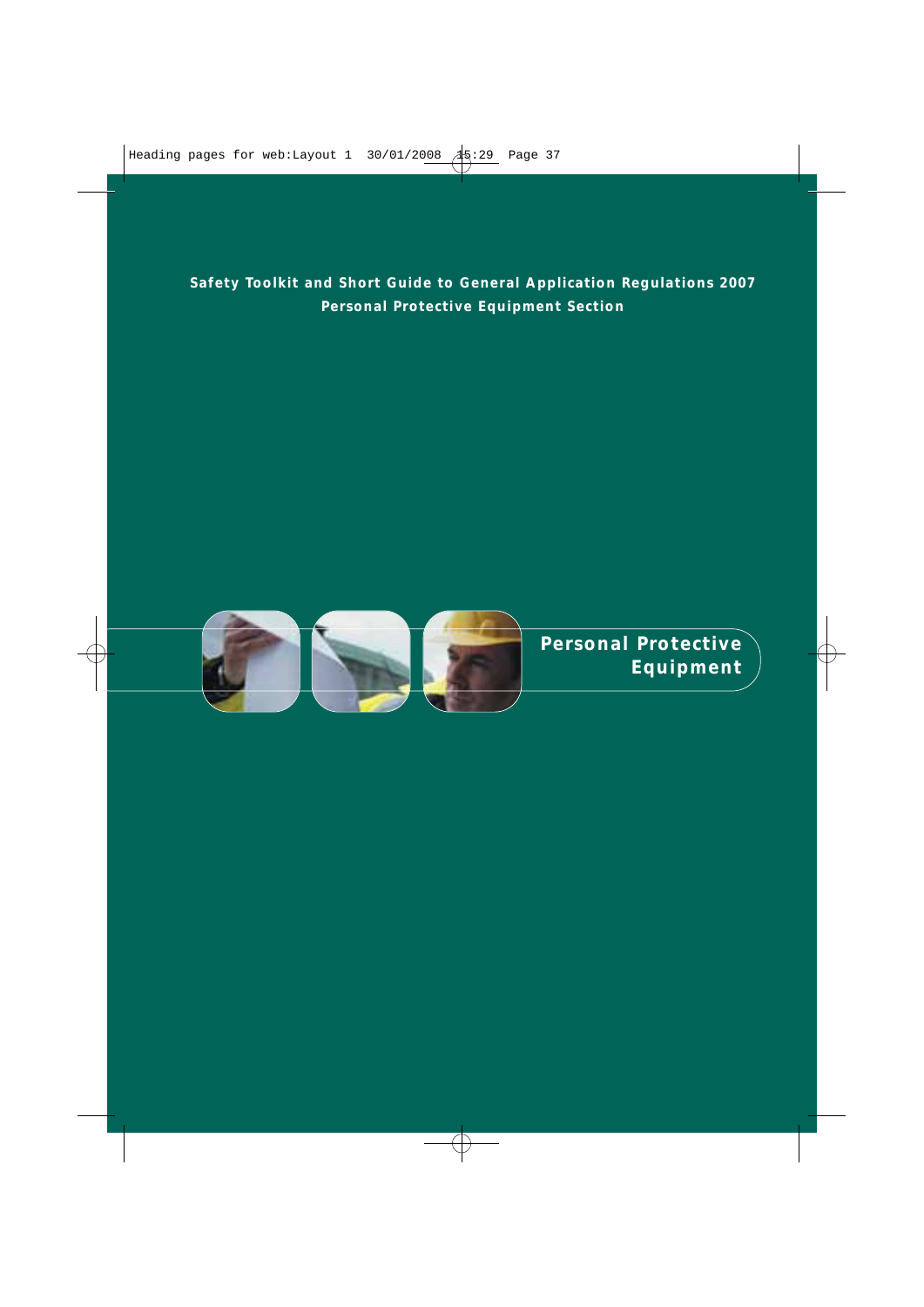**Safety Toolkit and Short Guide to General Application Regulations 2007 Personal Protective Equipment Section**



**Personal Protective Equipment**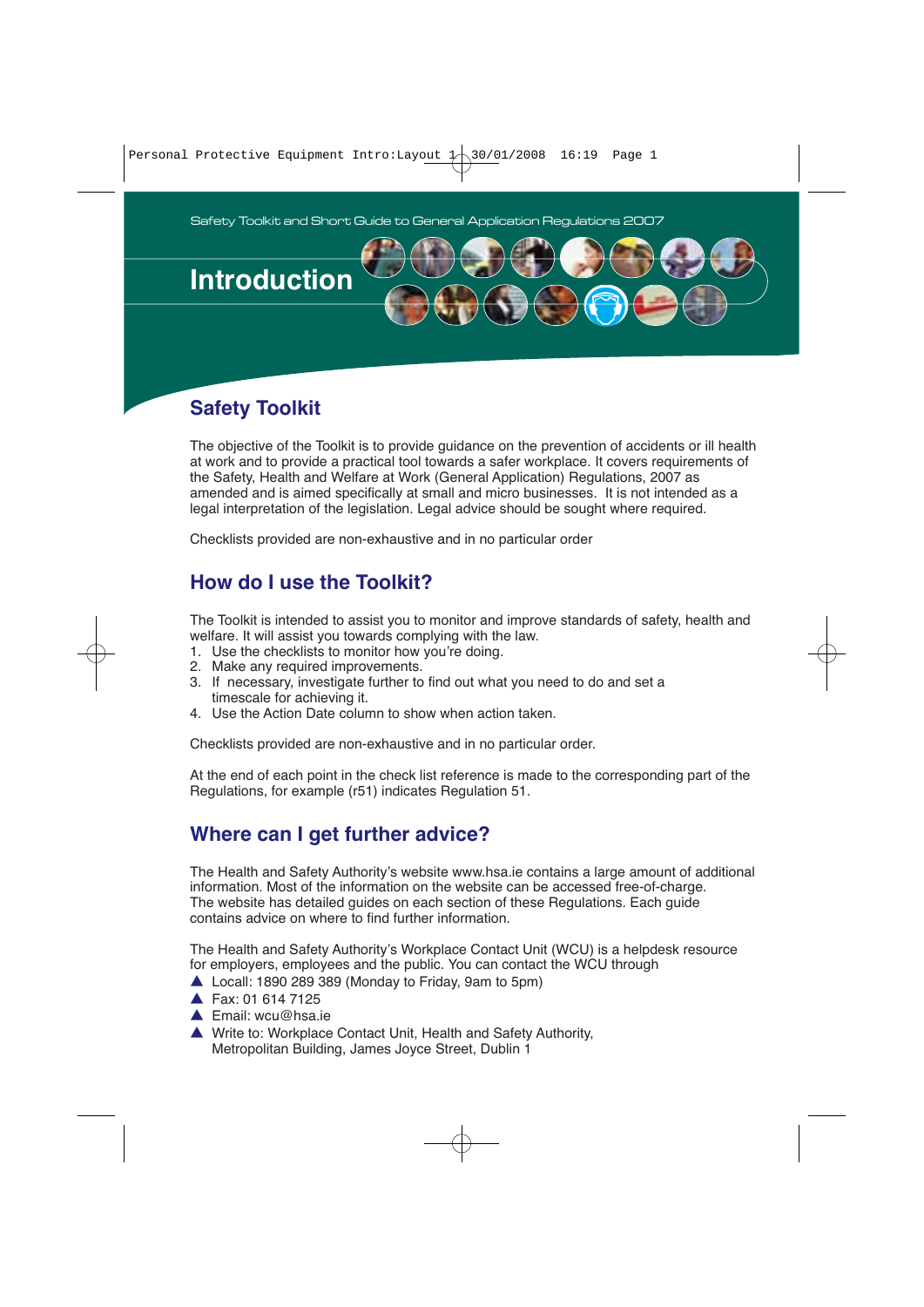Safety Toolkit and Short Guide to General Application Regulations 2007



# **Safety Toolkit**

The objective of the Toolkit is to provide guidance on the prevention of accidents or ill health at work and to provide a practical tool towards a safer workplace. It covers requirements of the Safety, Health and Welfare at Work (General Application) Regulations, 2007 as amended and is aimed specifically at small and micro businesses. It is not intended as a legal interpretation of the legislation. Legal advice should be sought where required.

Checklists provided are non-exhaustive and in no particular order

## **How do I use the Toolkit?**

The Toolkit is intended to assist you to monitor and improve standards of safety, health and welfare. It will assist you towards complying with the law.

- 1. Use the checklists to monitor how you're doing.
- 2. Make any required improvements.
- 3. If necessary, investigate further to find out what you need to do and set a timescale for achieving it.
- 4. Use the Action Date column to show when action taken.

Checklists provided are non-exhaustive and in no particular order.

At the end of each point in the check list reference is made to the corresponding part of the Regulations, for example (r51) indicates Regulation 51.

#### **Where can I get further advice?**

The Health and Safety Authority's website www.hsa.ie contains a large amount of additional information. Most of the information on the website can be accessed free-of-charge. The website has detailed guides on each section of these Regulations. Each guide contains advice on where to find further information.

The Health and Safety Authority's Workplace Contact Unit (WCU) is a helpdesk resource for employers, employees and the public. You can contact the WCU through

- $\triangle$  Locall: 1890 289 389 (Monday to Friday, 9am to 5pm)
- ▲ Fax: 01 614 7125
- ▲ Email: wcu@hsa.ie
- ▲ Write to: Workplace Contact Unit, Health and Safety Authority, Metropolitan Building, James Joyce Street, Dublin 1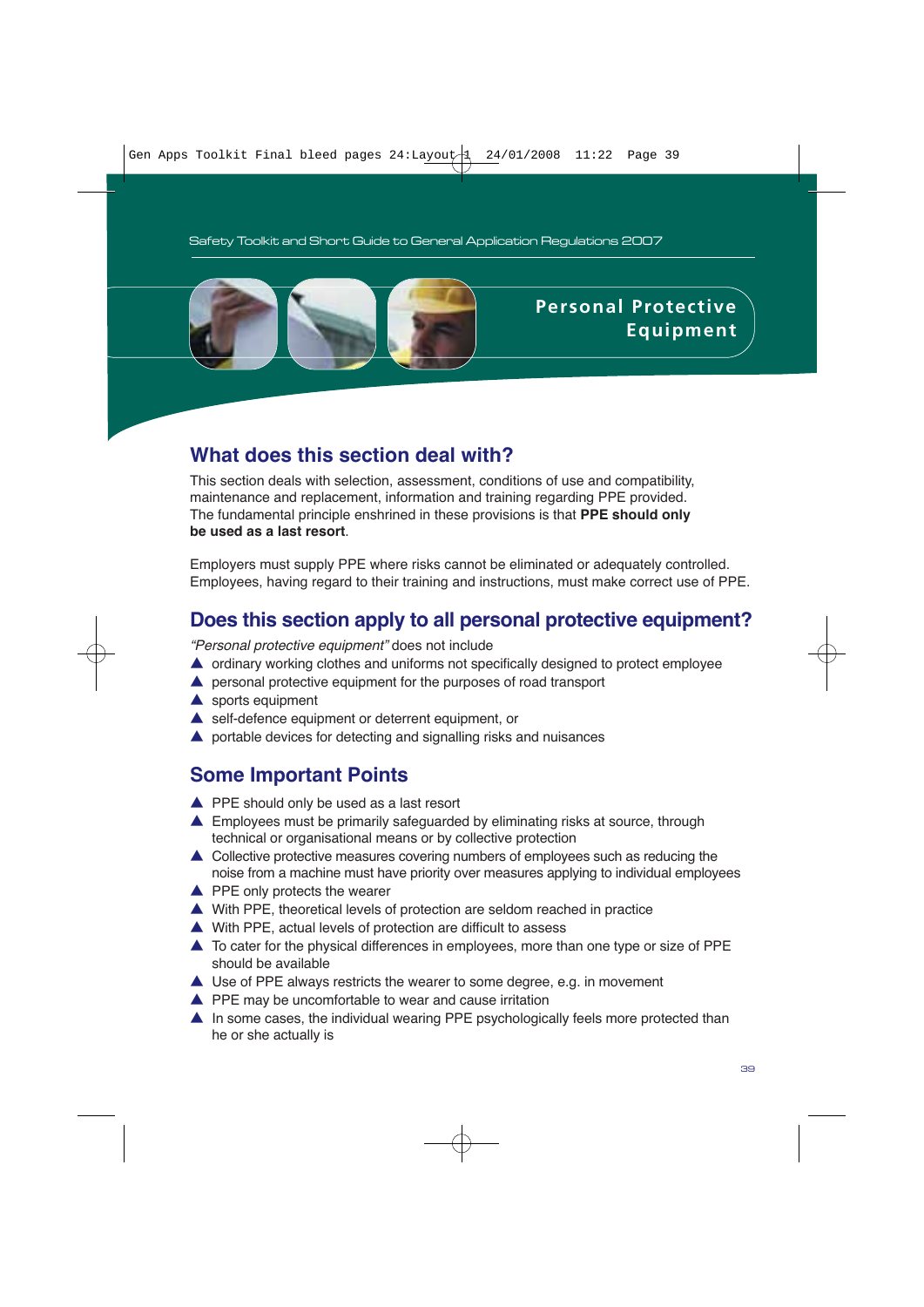

#### **Personal Protective Equipment**

## **What does this section deal with?**

This section deals with selection, assessment, conditions of use and compatibility, maintenance and replacement, information and training regarding PPE provided. The fundamental principle enshrined in these provisions is that **PPE should only be used as a last resort**.

Employers must supply PPE where risks cannot be eliminated or adequately controlled. Employees, having regard to their training and instructions, must make correct use of PPE.

#### **Does this section apply to all personal protective equipment?**

"Personal protective equipment" does not include

- ▲ ordinary working clothes and uniforms not specifically designed to protect employee
- ▲ personal protective equipment for the purposes of road transport
- ▲ sports equipment
- ▲ self-defence equipment or deterrent equipment, or
- $\blacktriangle$  portable devices for detecting and signalling risks and nuisances

#### **Some Important Points**

- **▲ PPE should only be used as a last resort**
- ▲ Employees must be primarily safeguarded by eliminating risks at source, through technical or organisational means or by collective protection
- ▲ Collective protective measures covering numbers of employees such as reducing the noise from a machine must have priority over measures applying to individual employees
- ▲ PPE only protects the wearer
- ▲ With PPE, theoretical levels of protection are seldom reached in practice
- ▲ With PPE, actual levels of protection are difficult to assess
- ▲ To cater for the physical differences in employees, more than one type or size of PPE should be available
- ▲ Use of PPE always restricts the wearer to some degree, e.g. in movement
- ▲ PPE may be uncomfortable to wear and cause irritation
- ▲ In some cases, the individual wearing PPE psychologically feels more protected than he or she actually is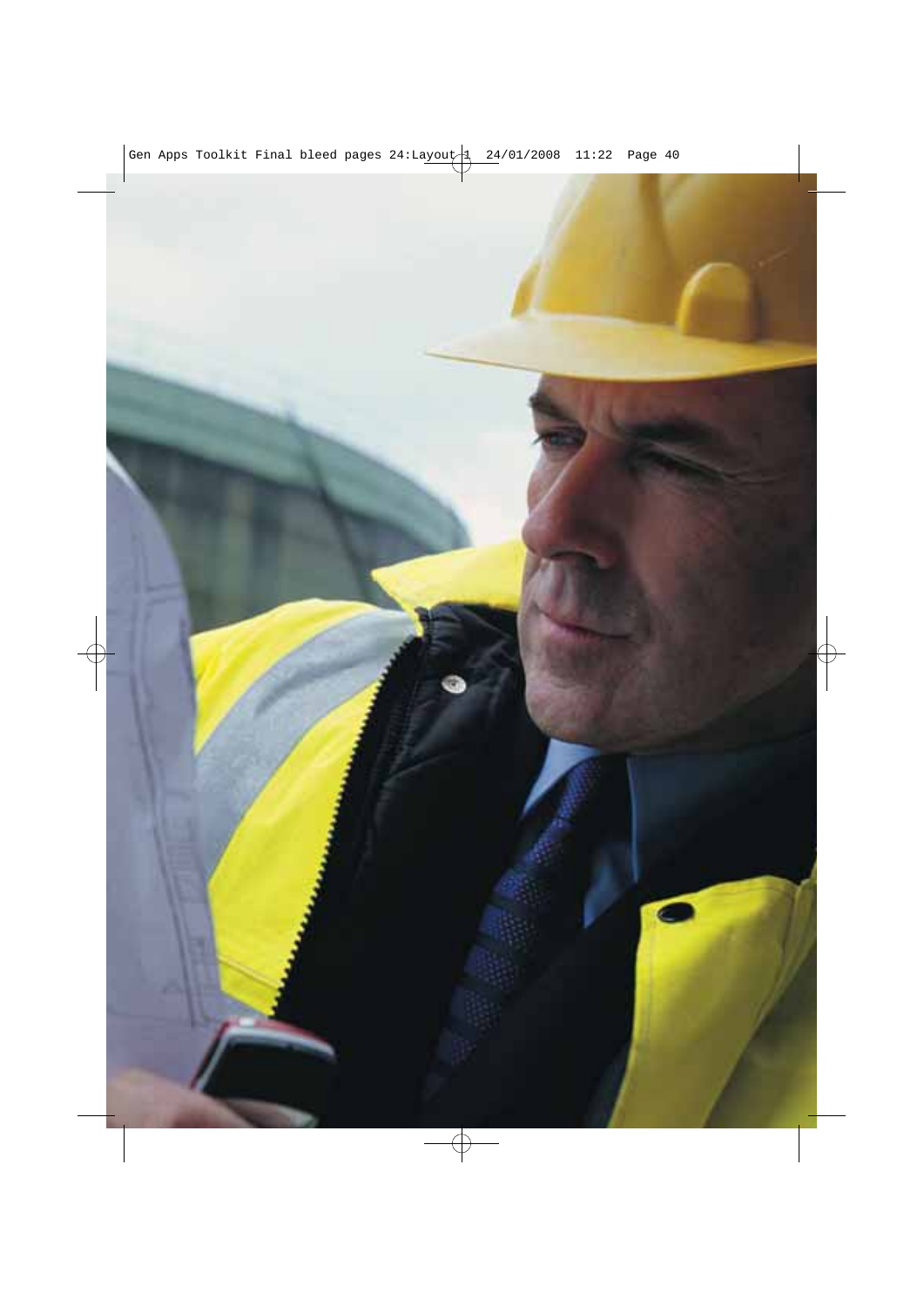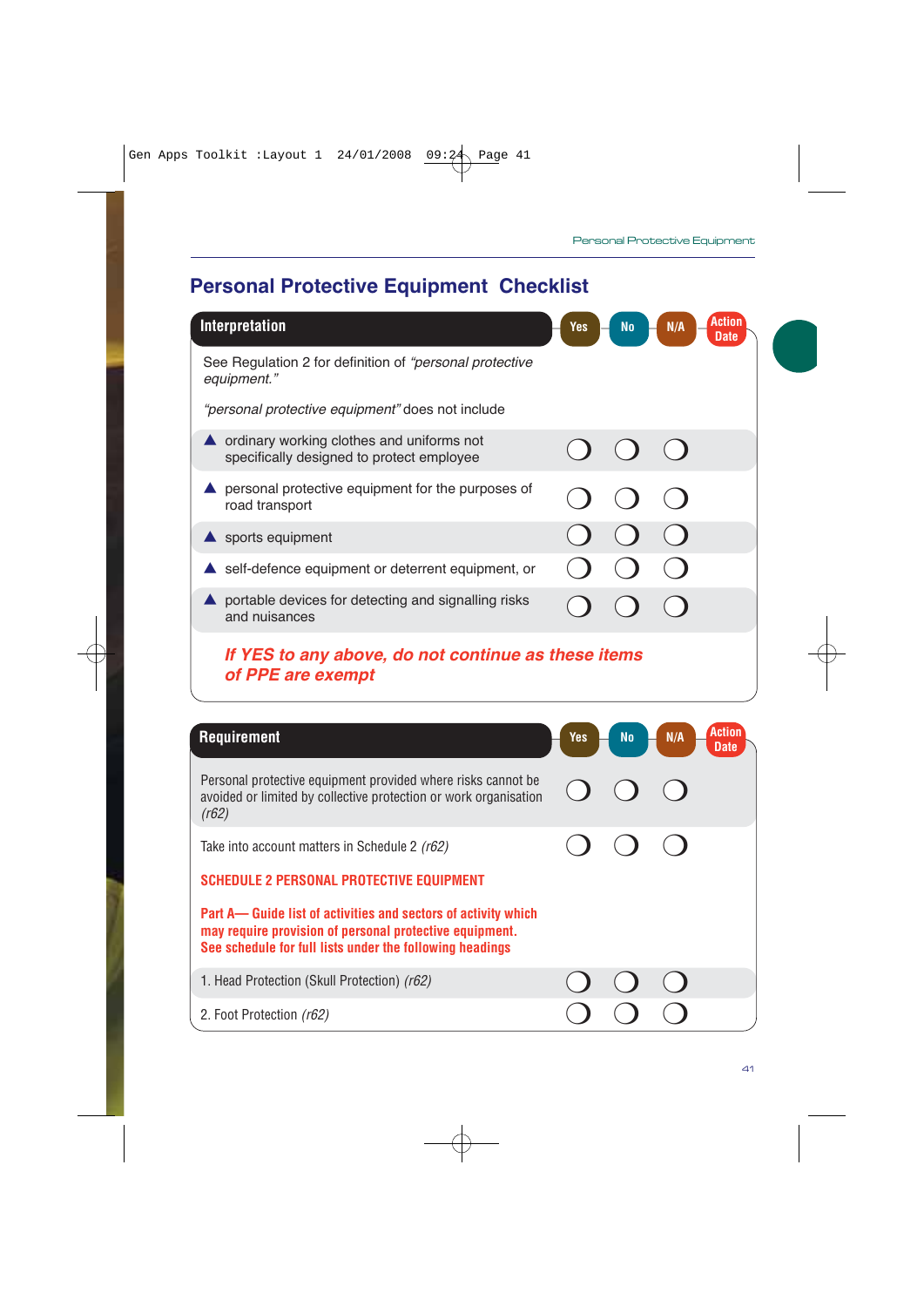$\Omega$   $\Omega$ 

❍ ❍ ❍

❍ ❍ ❍

## **Personal Protective Equipment Checklist**

| <b>Interpretation</b>                                                                                                                     | Yes | <b>No</b> | N/A | <b>Action</b><br><b>Date</b> |
|-------------------------------------------------------------------------------------------------------------------------------------------|-----|-----------|-----|------------------------------|
| See Regulation 2 for definition of " <i>personal protective</i><br>equipment."                                                            |     |           |     |                              |
| "personal protective equipment" does not include                                                                                          |     |           |     |                              |
| ▲ ordinary working clothes and uniforms not<br>specifically designed to protect employee                                                  |     |           |     |                              |
| personal protective equipment for the purposes of<br>road transport                                                                       |     |           |     |                              |
| $\blacktriangle$ sports equipment                                                                                                         |     |           |     |                              |
| Self-defence equipment or deterrent equipment, or                                                                                         |     |           |     |                              |
| portable devices for detecting and signalling risks<br>and nuisances                                                                      |     |           |     |                              |
| If YES to any above, do not continue as these items<br>of PPE are exempt                                                                  |     |           |     |                              |
|                                                                                                                                           |     |           |     | <b>Action</b>                |
| <b>Requirement</b>                                                                                                                        | Yes | <b>No</b> | N/A | <b>Date</b>                  |
| Personal protective equipment provided where risks cannot be<br>avoided or limited by collective protection or work organisation<br>(r62) |     |           |     |                              |

Take into account matters in Schedule 2 (r62)

#### **SCHEDULE 2 PERSONAL PROTECTIVE EQUIPMENT**

**Part A— Guide list of activities and sectors of activity which may require provision of personal protective equipment. See schedule for full lists under the following headings**

1. Head Protection (Skull Protection) (r62)

2. Foot Protection (r62)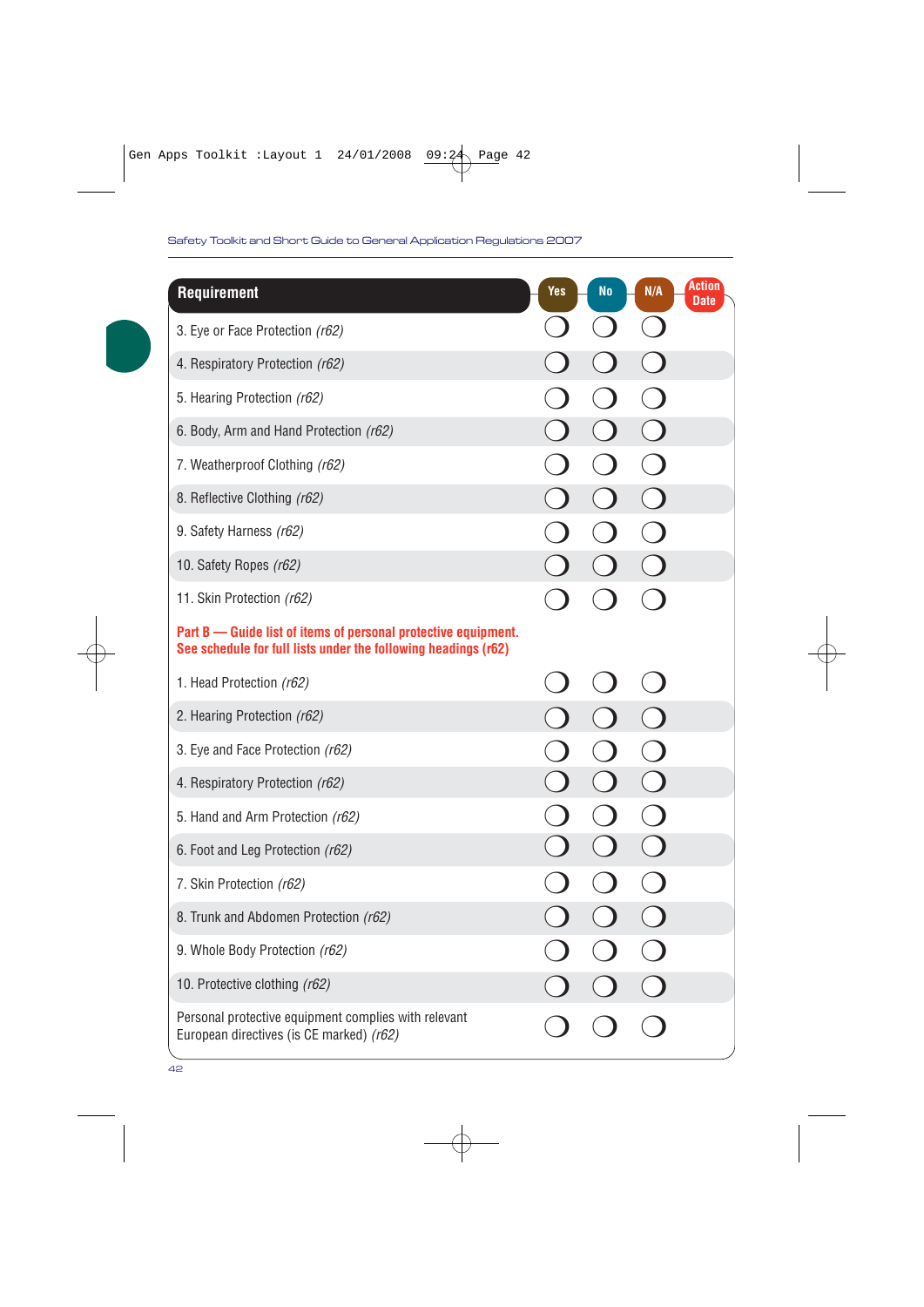| Requirement                                                                                                                      | Yes | No | N/A | <b>Action</b><br>Date |
|----------------------------------------------------------------------------------------------------------------------------------|-----|----|-----|-----------------------|
| 3. Eye or Face Protection (r62)                                                                                                  |     |    |     |                       |
| 4. Respiratory Protection (r62)                                                                                                  |     |    |     |                       |
| 5. Hearing Protection (r62)                                                                                                      |     |    |     |                       |
| 6. Body, Arm and Hand Protection (r62)                                                                                           |     |    |     |                       |
| 7. Weatherproof Clothing (r62)                                                                                                   |     |    |     |                       |
| 8. Reflective Clothing (r62)                                                                                                     |     |    |     |                       |
| 9. Safety Harness (r62)                                                                                                          |     |    |     |                       |
| 10. Safety Ropes (r62)                                                                                                           |     |    |     |                       |
| 11. Skin Protection (r62)                                                                                                        |     |    |     |                       |
| Part B - Guide list of items of personal protective equipment.<br>See schedule for full lists under the following headings (r62) |     |    |     |                       |
| 1. Head Protection (r62)                                                                                                         |     |    |     |                       |
| 2. Hearing Protection (r62)                                                                                                      |     |    |     |                       |
| 3. Eye and Face Protection (r62)                                                                                                 |     |    |     |                       |
| 4. Respiratory Protection (r62)                                                                                                  |     |    |     |                       |
| 5. Hand and Arm Protection (r62)                                                                                                 |     |    |     |                       |
| 6. Foot and Leg Protection (r62)                                                                                                 |     |    |     |                       |
| 7. Skin Protection (r62)                                                                                                         |     |    |     |                       |
| 8. Trunk and Abdomen Protection (r62)                                                                                            |     |    |     |                       |
| 9. Whole Body Protection (r62)                                                                                                   |     |    |     |                       |
| 10. Protective clothing (r62)                                                                                                    |     |    |     |                       |
| Personal protective equipment complies with relevant<br>European directives (is CE marked) (r62)                                 |     |    |     |                       |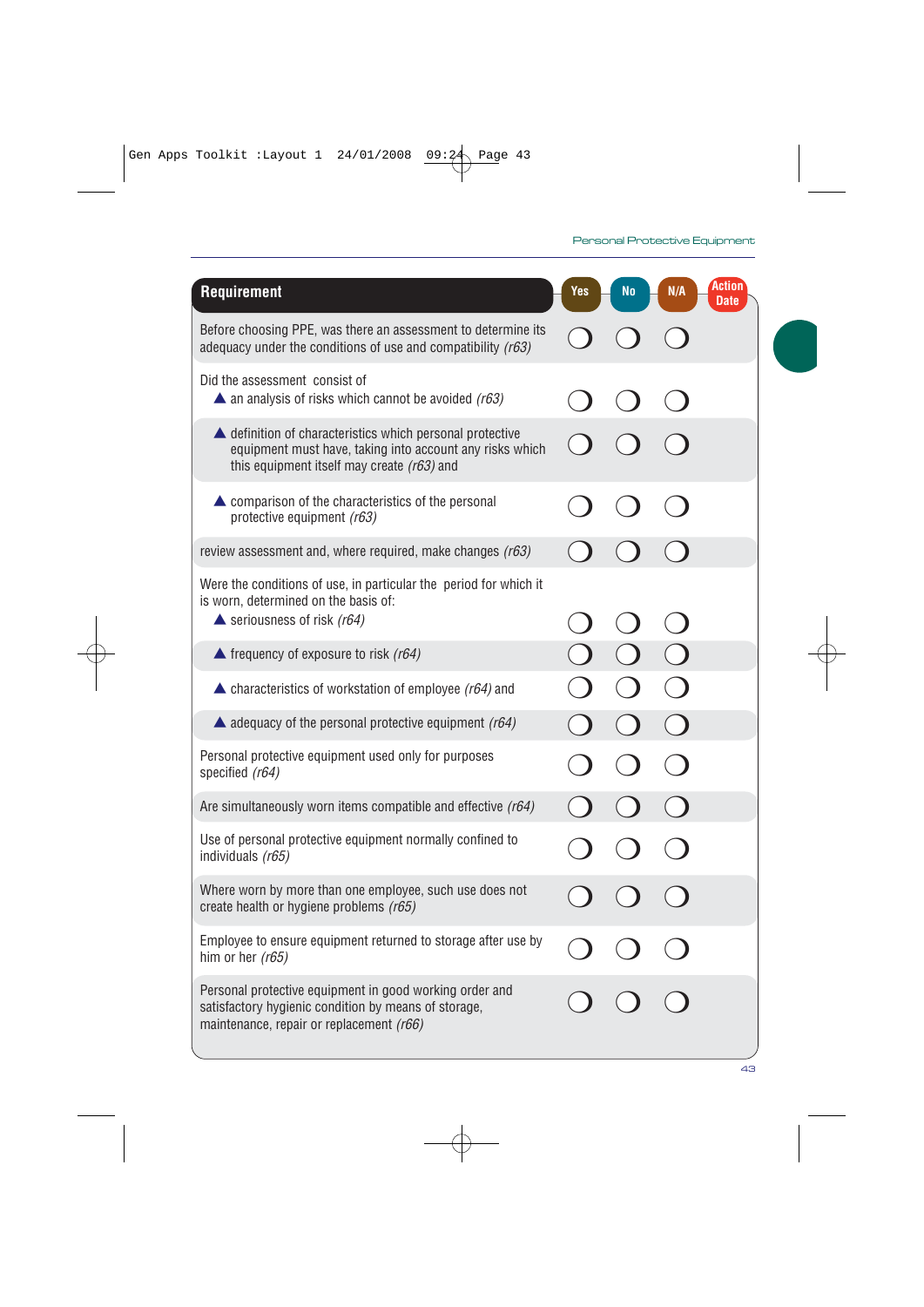| <b>Requirement</b>                                                                                                                                                  | Yes | No | N/A | Action<br>Date |
|---------------------------------------------------------------------------------------------------------------------------------------------------------------------|-----|----|-----|----------------|
| Before choosing PPE, was there an assessment to determine its<br>adequacy under the conditions of use and compatibility $(r63)$                                     |     |    |     |                |
| Did the assessment consist of<br>$\triangle$ an analysis of risks which cannot be avoided (r63)                                                                     |     |    |     |                |
| ▲ definition of characteristics which personal protective<br>equipment must have, taking into account any risks which<br>this equipment itself may create (r63) and |     |    |     |                |
| $\triangle$ comparison of the characteristics of the personal<br>protective equipment (r63)                                                                         |     |    |     |                |
| review assessment and, where required, make changes (r63)                                                                                                           |     |    |     |                |
| Were the conditions of use, in particular the period for which it<br>is worn, determined on the basis of:<br>$\triangle$ seriousness of risk (r64)                  |     |    |     |                |
| $\triangle$ frequency of exposure to risk (r64)                                                                                                                     |     |    |     |                |
| $\triangle$ characteristics of workstation of employee (r64) and                                                                                                    |     |    |     |                |
| $\triangle$ adequacy of the personal protective equipment (r64)                                                                                                     |     |    |     |                |
| Personal protective equipment used only for purposes<br>specified (r64)                                                                                             |     |    |     |                |
| Are simultaneously worn items compatible and effective (r64)                                                                                                        |     |    |     |                |
| Use of personal protective equipment normally confined to<br>individuals (r65)                                                                                      |     |    |     |                |
| Where worn by more than one employee, such use does not<br>create health or hygiene problems (r65)                                                                  |     |    |     |                |
| Employee to ensure equipment returned to storage after use by<br>him or her $(r65)$                                                                                 |     |    |     |                |
| Personal protective equipment in good working order and<br>satisfactory hygienic condition by means of storage,<br>maintenance, repair or replacement (r66)         |     |    |     |                |